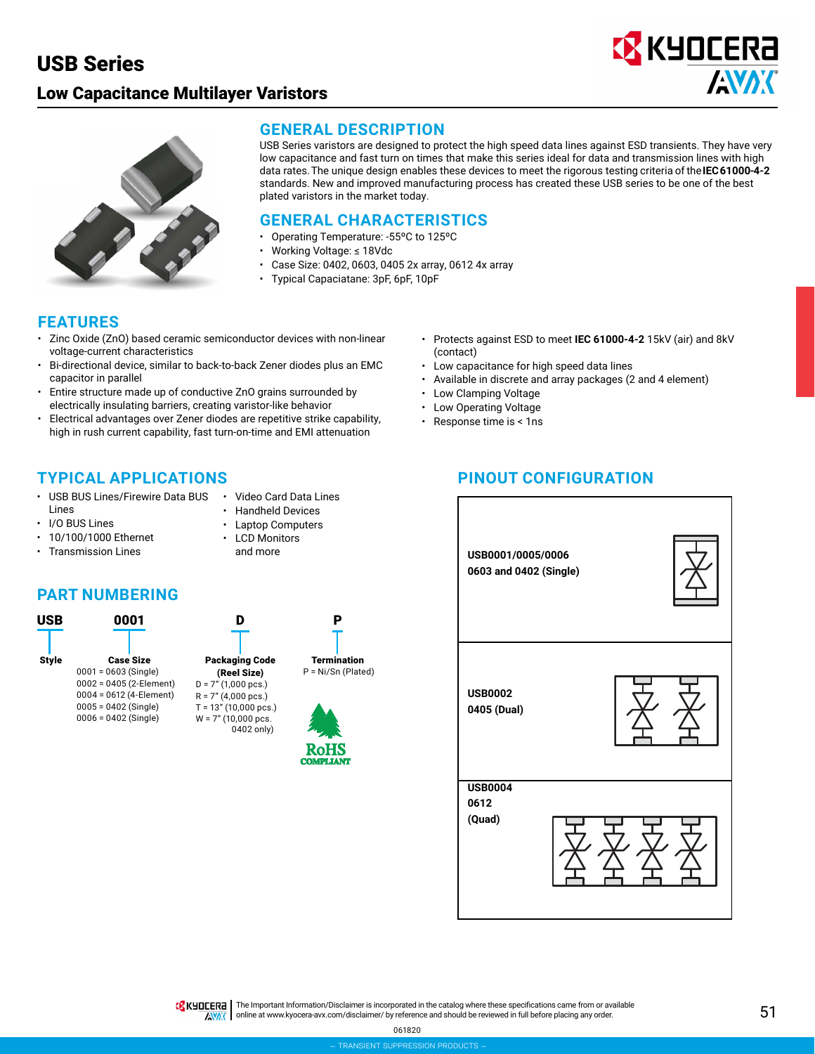## Low Capacitance Multilayer Varistors





**GENERAL DESCRIPTION**

USB Series varistors are designed to protect the high speed data lines against ESD transients. They have very low capacitance and fast turn on times that make this series ideal for data and transmission lines with high data rates. The unique design enables these devices to meet the rigorous testing criteria of the **IEC 61000-4-2**  standards. New and improved manufacturing process has created these USB series to be one of the best plated varistors in the market today.

#### **GENERAL CHARACTERISTICS**

- Operating Temperature: -55ºC to 125ºC
- Working Voltage: ≤ 18Vdc
- Case Size: 0402, 0603, 0405 2x array, 0612 4x array
- Typical Capaciatane: 3pF, 6pF, 10pF

### **FEATURES**

- Zinc Oxide (ZnO) based ceramic semiconductor devices with non-linear voltage-current characteristics
- Bi-directional device, similar to back-to-back Zener diodes plus an EMC capacitor in parallel
- Entire structure made up of conductive ZnO grains surrounded by electrically insulating barriers, creating varistor-like behavior
- Electrical advantages over Zener diodes are repetitive strike capability, high in rush current capability, fast turn-on-time and EMI attenuation

### **TYPICAL APPLICATIONS**

- USB BUS Lines/Firewire Data BUS Lines
- I/O BUS Lines
- Handheld Devices • Laptop Computers

• Video Card Data Lines

- 10/100/1000 Ethernet • Transmission Lines
- LCD Monitors and more

### **PART NUMBERING**



- Protects against ESD to meet **IEC 61000-4-2** 15kV (air) and 8kV (contact)
- Low capacitance for high speed data lines
- Available in discrete and array packages (2 and 4 element)
- Low Clamping Voltage
- Low Operating Voltage
- Response time is < 1ns

## **PINOUT CONFIGURATION**



TR KUDEERA The Important Information/Disclaimer is incorporated in the catalog where these specifications came from or available AVAX online at [www.kyocera-avx.com/disclaimer/](http://www.kyocera-avx.com/disclaimer/) by reference and should be reviewed in full before placing any order.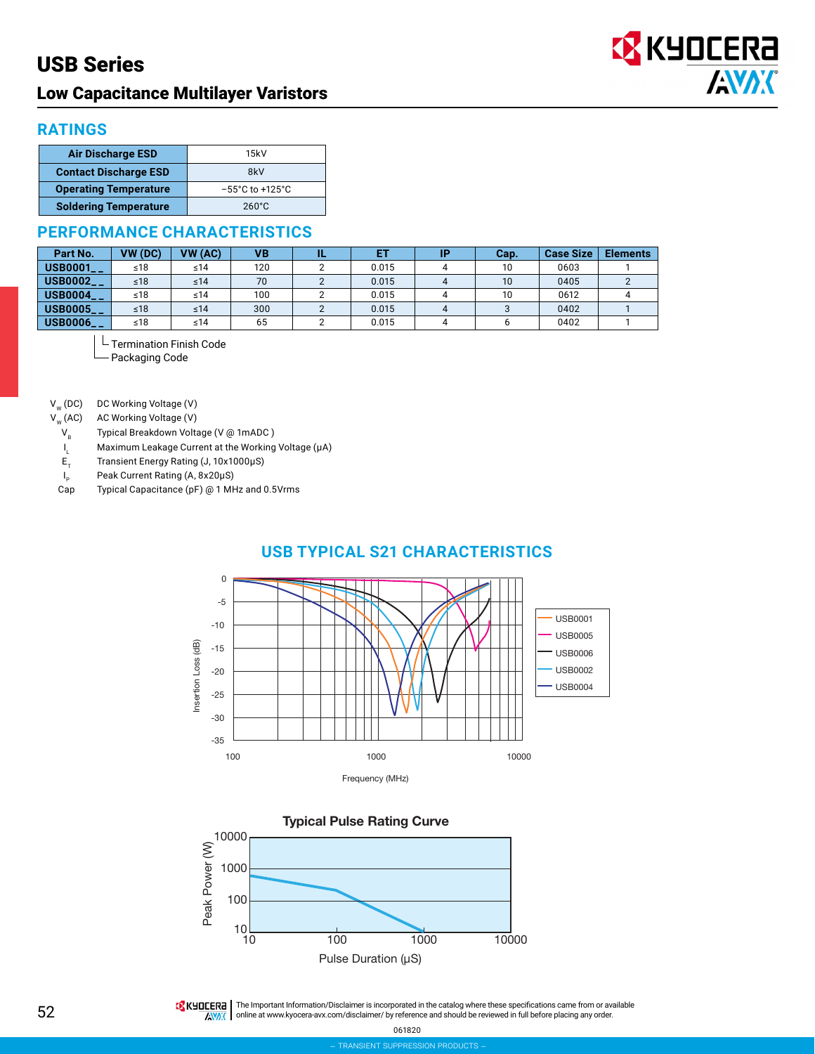## Low Capacitance Multilayer Varistors



#### **RATINGS**

| <b>Air Discharge ESD</b>     | 15kV                                 |
|------------------------------|--------------------------------------|
| <b>Contact Discharge ESD</b> | 8kV                                  |
| <b>Operating Temperature</b> | $-55^{\circ}$ C to +125 $^{\circ}$ C |
| <b>Soldering Temperature</b> | $260^{\circ}$ C                      |

#### **PERFORMANCE CHARACTERISTICS**

| Part No.                | VW (DC) | VW (AC)   | VB  |       | Cap. | <b>Case Size</b> | <b>Elements</b> |
|-------------------------|---------|-----------|-----|-------|------|------------------|-----------------|
| <b>USB0001__</b>        | ≤18     | ≤14       | 120 | 0.015 | 10   | 0603             |                 |
| <b>USB0002__</b>        | $≤18$   | ≤14       | 70  | 0.015 | 10   | 0405             |                 |
| <b>USB0004__</b>        | ≤18     | ≤14       | 100 | 0.015 | 10   | 0612             |                 |
| $USB0005$ <sub>--</sub> | $≤18$   | $\leq 14$ | 300 | 0.015 |      | 0402             |                 |
| <b>USB0006__</b>        | ≤18     | ≤14       | 65  | 0.015 |      | 0402             |                 |

L Termination Finish Code

Packaging Code

 $V_{w}$  (DC) DC Working Voltage (V)<br> $V_{w}$  (AC) AC Working Voltage (V)

AC Working Voltage (V)

- $V_B$  Typical Breakdown Voltage (V @ 1mADC )
- $I_L$  $L_1$  Maximum Leakage Current at the Working Voltage (μA)<br> $E_T$  Transient Energy Rating (J, 10x1000μS)

ET Transient Energy Rating (J, 10x1000μS)

 $I_{\rm p}$ 

 $I_p$  Peak Current Rating (A, 8x20μS)<br>Cap Typical Capacitance (pF) @ 1 MH Typical Capacitance (pF) @ 1 MHz and 0.5Vrms









THE Important Information/Disclaimer is incorporated in the catalog where these specifications came from or available **AVAX** online at [www.kyocera-avx.com/disclaimer/](http://www.kyocera-avx.com/disclaimer/) by reference and should be reviewed in full before placing any order.

061820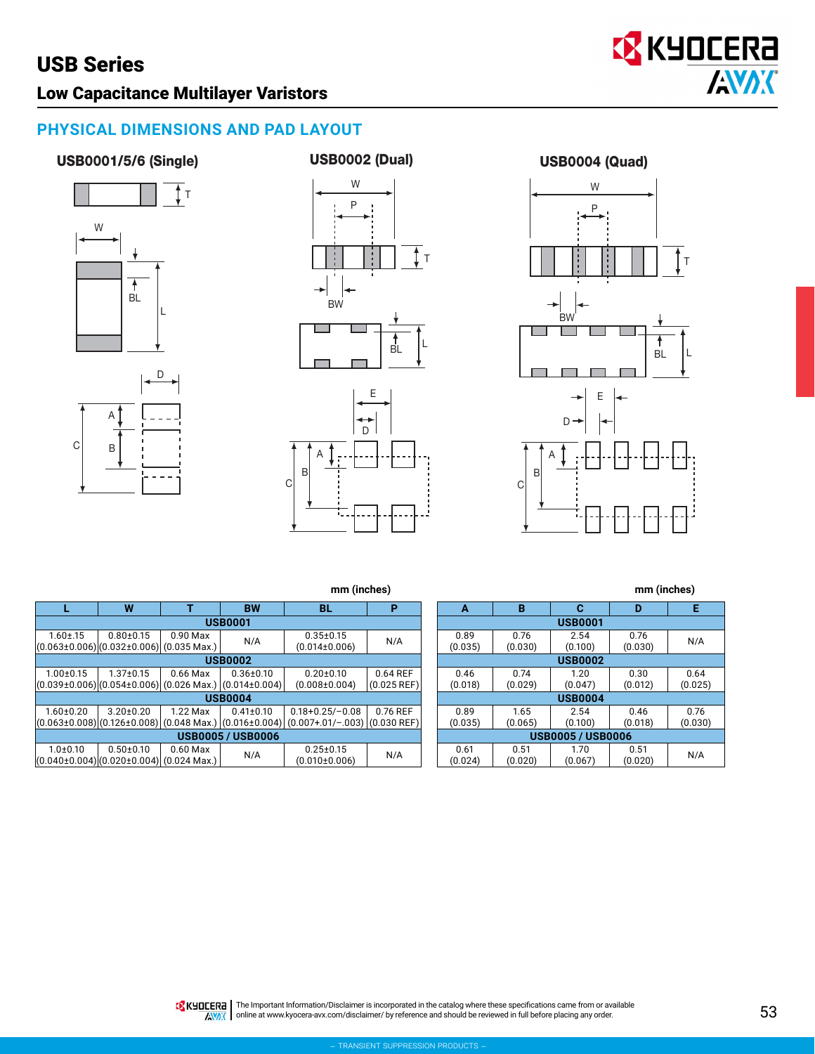## Low Capacitance Multilayer Varistors

### **PHYSICAL DIMENSIONS AND PAD LAYOUT**

#### USB0001/5/6 (Single)







USB0004 (Quad)

**EX KYOCERA** 

**AVAX** 



**mm (inches) mm (inches)**

|                                                                | W               | т          | <b>BW</b>                         | BL                    | P             |  |  |  |
|----------------------------------------------------------------|-----------------|------------|-----------------------------------|-----------------------|---------------|--|--|--|
| <b>USB0001</b>                                                 |                 |            |                                   |                       |               |  |  |  |
| $1.60 \pm .15$                                                 | $0.80 + 0.15$   | $0.90$ Max | N/A                               | $0.35 \pm 0.15$       | N/A           |  |  |  |
| $[(0.063 \pm 0.006) (0.032 \pm 0.006) (0.035 \text{ Max.})]$   |                 |            |                                   | $(0.014\pm0.006)$     |               |  |  |  |
| <b>USB0002</b>                                                 |                 |            |                                   |                       |               |  |  |  |
| $1.00 \pm 0.15$                                                | $1.37 \pm 0.15$ | $0.66$ Max | $0.36 \pm 0.10$                   | $0.20 + 0.10$         | 0.64 REF      |  |  |  |
| $(0.039\pm0.006)(0.054\pm0.006)(0.026$ Max.) $(0.014\pm0.004)$ |                 |            |                                   | $(0.008 \pm 0.004)$   | $(0.025$ REF) |  |  |  |
| <b>USB0004</b>                                                 |                 |            |                                   |                       |               |  |  |  |
| $1.60 + 0.20$                                                  | $3.20 \pm 0.20$ | 1.22 Max   | $0.41 \pm 0.10$                   | $0.18 + 0.25 / -0.08$ | 0.76 REF      |  |  |  |
| $(0.063 \pm 0.008)(0.126 \pm 0.008)$                           |                 |            | $(0.048$ Max.) $ (0.016\pm0.004)$ | $(0.007+.01/-.003)$   | $(0.030$ REF) |  |  |  |
| <b>USB0005 / USB0006</b>                                       |                 |            |                                   |                       |               |  |  |  |
| $1.0 + 0.10$                                                   | $0.50 + 0.10$   | $0.60$ Max | N/A                               | $0.25 \pm 0.15$       | N/A           |  |  |  |
| $(0.040\pm0.004)(0.020\pm0.004)(0.024 \text{ Max.})$           |                 |            |                                   | $(0.010 \pm 0.006)$   |               |  |  |  |

| A                        | В              | С       | D       | Е       |  |  |  |
|--------------------------|----------------|---------|---------|---------|--|--|--|
| <b>USB0001</b>           |                |         |         |         |  |  |  |
| 0.89                     | 0.76           | 2.54    | 0.76    | N/A     |  |  |  |
| (0.035)                  | (0.030)        | (0.100) | (0.030) |         |  |  |  |
|                          | <b>USB0002</b> |         |         |         |  |  |  |
| 0.46                     | 0.74           | 1.20    | 0.30    | 0.64    |  |  |  |
| (0.018)                  | (0.029)        | (0.047) | (0.012) | (0.025) |  |  |  |
| <b>USB0004</b>           |                |         |         |         |  |  |  |
| 0.89                     | 1.65           | 2.54    | 0.46    | 0.76    |  |  |  |
| (0.035)                  | (0.065)        | (0.100) | (0.018) | (0.030) |  |  |  |
| <b>USB0005 / USB0006</b> |                |         |         |         |  |  |  |
| 0.61                     | 0.51           | 1.70    | 0.51    | N/A     |  |  |  |
| (0.024)                  | (0.020)        | (0.067) | (0.020) |         |  |  |  |

**KHOLERA** The Important Information/Disclaimer is incorporated in the catalog where these specifications came from or available XXXX online at [www.kyocera-avx.com/disclaimer/](http://www.kyocera-avx.com/disclaimer/) by reference and should be reviewed in full before placing any order.